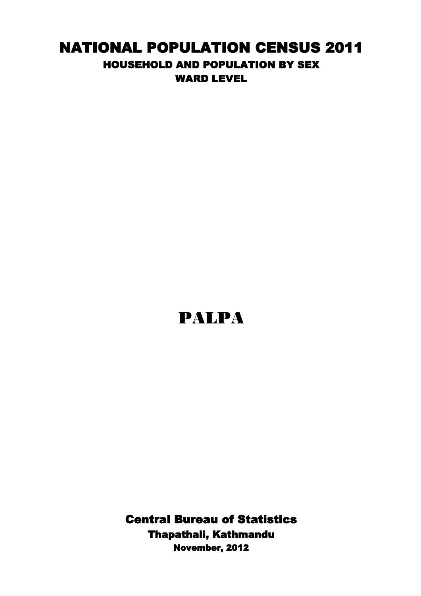## NATIONAL POPULATION CENSUS 2011 HOUSEHOLD AND POPULATION BY SEX WARD LEVEL



Central Bureau of Statistics Thapathali, Kathmandu November, 2012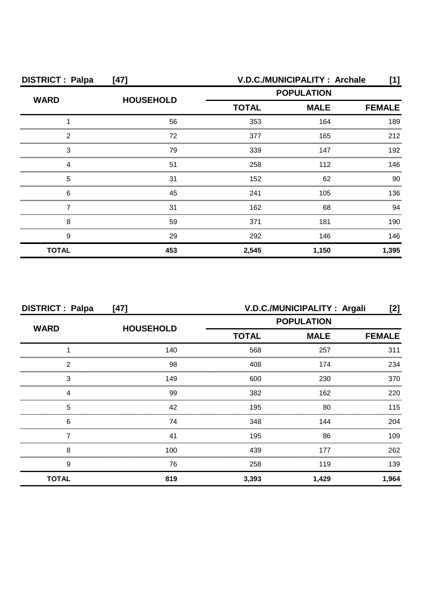| <b>DISTRICT: Palpa</b> | $[47]$           | V.D.C./MUNICIPALITY : Archale<br>[1] |       |               |
|------------------------|------------------|--------------------------------------|-------|---------------|
| <b>WARD</b>            | <b>HOUSEHOLD</b> | <b>POPULATION</b>                    |       |               |
|                        |                  | <b>TOTAL</b><br><b>MALE</b>          |       | <b>FEMALE</b> |
|                        | 56               | 353                                  | 164   | 189           |
| 2                      | 72               | 377                                  | 165   | 212           |
| З                      | 79               | 339                                  | 147   | 192           |
|                        | 51               | 258                                  | 112   | 146           |
| 5                      | 31               | 152                                  | 62    | 90            |
| 6                      | 45               | 241                                  | 105   | 136.          |
|                        | 31               | 162                                  | 68    | 94            |
| 8                      | 59               | 371                                  | 181   | 190           |
| 9                      | 29               | 292                                  | 146   | 146           |
| <b>TOTAL</b>           | 453              | 2,545                                | 1,150 | 1,395         |

| <b>DISTRICT: Palpa</b><br>$[47]$ |                  | V.D.C./MUNICIPALITY: Argali<br>$[2]$ |                              |       |
|----------------------------------|------------------|--------------------------------------|------------------------------|-------|
| <b>WARD</b>                      | <b>HOUSEHOLD</b> | <b>POPULATION</b>                    |                              |       |
|                                  |                  | <b>TOTAL</b>                         | <b>MALE</b><br><b>FEMALE</b> |       |
|                                  | 140              | 568                                  | 257                          | 311   |
| っ                                | 98               | 408                                  | 174                          | 234   |
| 3                                | 149              | 600                                  | 230                          | 370   |
|                                  | 99               | 382                                  | 162                          | 220   |
| 5                                | 42               | 195                                  | 80                           | 115   |
| 6                                | 74               | 348                                  | 144                          | 204   |
|                                  | 41               | 195                                  | 86                           | 109   |
| 8                                | 100              | 439                                  | 177                          | 262   |
| 9                                | 76               | 258                                  | 119                          | 139   |
| <b>TOTAL</b>                     | 819              | 3,393                                | 1,429                        | 1,964 |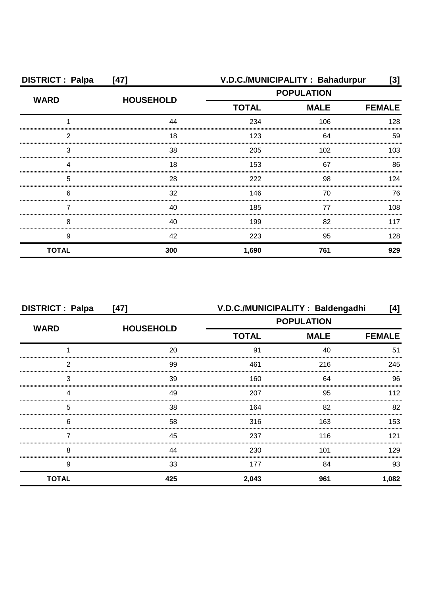| <b>DISTRICT: Palpa</b> | $[47]$           |                   | V.D.C./MUNICIPALITY: Bahadurpur | [3] |
|------------------------|------------------|-------------------|---------------------------------|-----|
| <b>WARD</b>            | <b>HOUSEHOLD</b> | <b>POPULATION</b> |                                 |     |
|                        |                  | <b>TOTAL</b>      | <b>FEMALE</b>                   |     |
|                        | 44               | 234               | 106                             | 128 |
| 2                      | 18               | 123               | 64                              | 59  |
| 3                      | 38               | 205               | 102                             | 103 |
|                        | 18               | 153               | 67                              | 86  |
| 5                      | 28               | 222               | 98                              | 124 |
| 6                      | 32               | 146               | 70                              | 76  |
|                        | 40               | 185               | 77                              | 108 |
| 8                      | 40               | 199               | 82                              | 117 |
| 9                      | 42               | 223               | 95                              | 128 |
| <b>TOTAL</b>           | 300              | 1,690             | 761                             | 929 |

| <b>DISTRICT: Palpa</b> | $[47]$           | V.D.C./MUNICIPALITY: Baldengadhi |                              |       |  |
|------------------------|------------------|----------------------------------|------------------------------|-------|--|
| <b>WARD</b>            | <b>HOUSEHOLD</b> | <b>POPULATION</b>                |                              |       |  |
|                        |                  | <b>TOTAL</b>                     | <b>MALE</b><br><b>FEMALE</b> |       |  |
|                        | 20               | 91                               | 40                           | 51    |  |
| າ                      | 99               | 461                              | 216                          | 245   |  |
| 3                      | 39               | 160                              | 64                           | 96    |  |
|                        | 49               | 207                              | 95                           | 112   |  |
| 5                      | 38               | 164                              | 82                           | 82    |  |
| 6                      | 58               | 316                              | 163                          | 153   |  |
|                        | 45               | 237                              | 116                          | 121   |  |
| 8                      | 44               | 230                              | 101                          | 129   |  |
| 9                      | 33               | 177                              | 84                           | 93    |  |
| <b>TOTAL</b>           | 425              | 2,043                            | 961                          | 1,082 |  |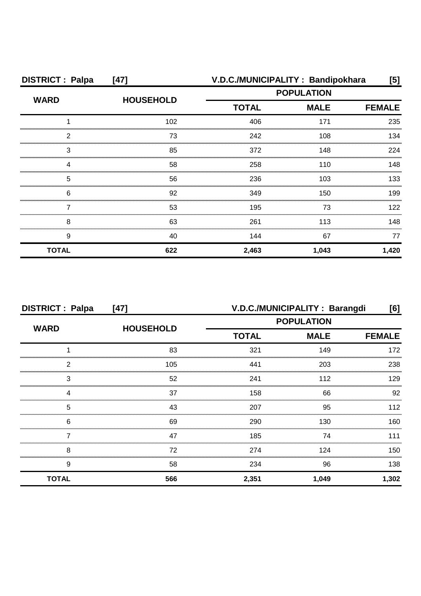| <b>DISTRICT: Palpa</b>                      | $[47]$           | V.D.C./MUNICIPALITY: Bandipokhara |                              | [5]   |  |
|---------------------------------------------|------------------|-----------------------------------|------------------------------|-------|--|
| <b>WARD</b>                                 |                  | <b>POPULATION</b>                 |                              |       |  |
|                                             | <b>HOUSEHOLD</b> | <b>TOTAL</b>                      | <b>MALE</b><br><b>FEMALE</b> |       |  |
|                                             | 102              | 406                               | 171                          | 235   |  |
| 2                                           | 73               | 242                               | 108                          | 134   |  |
| 3                                           | 85               | 372                               | 148                          | 224   |  |
| Δ                                           | 58               | 258                               | 110                          | 148   |  |
| 5                                           | 56               | 236                               | 103                          | 133   |  |
| 6<br>,,,,,,,,,,,,,,,,,,,,,,,,,,,,,,,,,,,,,, | 92               | 349                               | 150                          | 199   |  |
|                                             | 53               | 195                               | 73                           | 122   |  |
| 8                                           | 63               | 261                               | 113                          | 148   |  |
| 9                                           | 40               | 144                               | 67                           | 77    |  |
| <b>TOTAL</b>                                | 622              | 2,463                             | 1,043                        | 1,420 |  |

| <b>DISTRICT: Palpa</b> | $[47]$           | V.D.C./MUNICIPALITY: Barangdi<br>[6] |                              |       |  |
|------------------------|------------------|--------------------------------------|------------------------------|-------|--|
|                        |                  |                                      | <b>POPULATION</b>            |       |  |
| <b>WARD</b>            | <b>HOUSEHOLD</b> | <b>TOTAL</b>                         | <b>MALE</b><br><b>FEMALE</b> |       |  |
|                        | 83               | 321                                  | 149                          | 172   |  |
| 2                      | 105              | 441                                  | 203                          | 238   |  |
| 3                      | 52               | 241                                  | 112                          | 129   |  |
|                        | 37               | 158                                  | 66                           | 92    |  |
| 5                      | 43               | 207                                  | 95                           | 112   |  |
| 6                      | 69               | 290                                  | 130                          | 160.  |  |
|                        | 47               | 185                                  | 74                           | 111   |  |
| 8                      | 72               | 274                                  | 124                          | 150   |  |
| 9                      | 58               | 234                                  | 96                           | 138   |  |
| <b>TOTAL</b>           | 566              | 2,351                                | 1,049                        | 1,302 |  |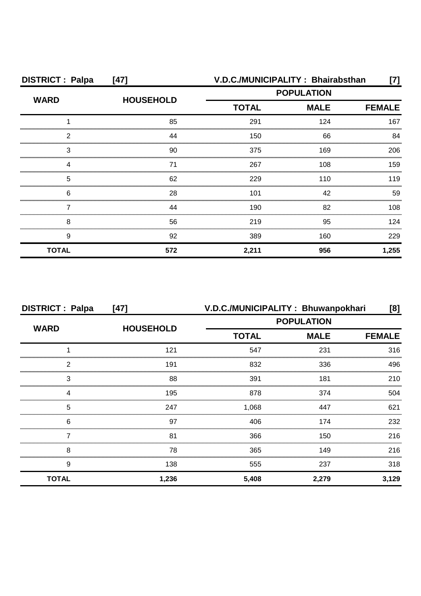| <b>DISTRICT: Palpa</b> | $[47]$           | V.D.C./MUNICIPALITY: Bhairabsthan<br>[7]     |     |       |
|------------------------|------------------|----------------------------------------------|-----|-------|
| <b>WARD</b>            | <b>HOUSEHOLD</b> | <b>POPULATION</b>                            |     |       |
|                        |                  | <b>TOTAL</b><br><b>MALE</b><br><b>FEMALE</b> |     |       |
|                        | 85               | 291                                          | 124 | 167   |
| 2                      | 44               | 150                                          | 66  | 84    |
| 3                      | 90               | 375                                          | 169 | 206   |
|                        | 71               | 267                                          | 108 | 159   |
| 5                      | 62               | 229                                          | 110 | 119   |
| 6                      | 28               | 101                                          | 42  | 59    |
|                        | 44               | 190                                          | 82  | 108   |
| 8                      | 56               | 219                                          | 95  | 124   |
| 9                      | 92               | 389                                          | 160 | 229   |
| <b>TOTAL</b>           | 572              | 2,211                                        | 956 | 1,255 |

| <b>DISTRICT: Palpa</b> | $[47]$           | V.D.C./MUNICIPALITY: Bhuwanpokhari               |               | [8]   |
|------------------------|------------------|--------------------------------------------------|---------------|-------|
|                        |                  | <b>POPULATION</b><br><b>TOTAL</b><br><b>MALE</b> |               |       |
| <b>WARD</b>            | <b>HOUSEHOLD</b> |                                                  | <b>FEMALE</b> |       |
|                        | 121              | 547                                              | 231           | 316   |
| っ                      | 191              | 832                                              | 336           | 496   |
| 3                      | 88               | 391                                              | 181           | 210   |
|                        | 195              | 878                                              | 374           | 504   |
| 5                      | 247              | 1,068                                            | 447           | 621   |
| 6                      | 97               | 406                                              | 174           | 232   |
|                        | 81               | 366                                              | 150           | 216   |
| 8                      | 78               | 365                                              | 149           | 216   |
| 9                      | 138              | 555                                              | 237           | 318   |
| <b>TOTAL</b>           | 1,236            | 5,408                                            | 2,279         | 3,129 |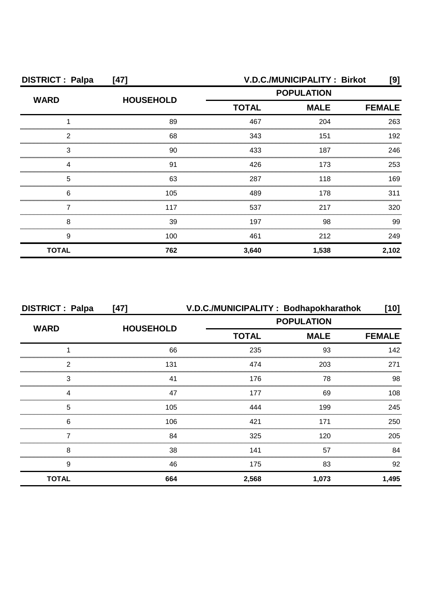| <b>DISTRICT: Palpa</b> | $[47]$           |                   | V.D.C./MUNICIPALITY: Birkot | [9]           |  |
|------------------------|------------------|-------------------|-----------------------------|---------------|--|
| <b>WARD</b>            | <b>HOUSEHOLD</b> | <b>POPULATION</b> |                             |               |  |
|                        |                  | <b>TOTAL</b>      | <b>MALE</b>                 | <b>FEMALE</b> |  |
|                        | 89               | 467               | 204                         | 263           |  |
| っ                      | 68               | 343               | 151                         | 192           |  |
| 3                      | 90               | 433               | 187                         | 246           |  |
|                        | 91               | 426               | 173                         | 253           |  |
| 5                      | 63               | 287               | 118                         | 169           |  |
| 6                      | 105              | 489               | 178                         | 311           |  |
|                        | 117              | 537               | 217                         | 320           |  |
| 8                      | 39               | 197               | 98                          | 99            |  |
| 9                      | 100              | 461               | 212                         | 249           |  |
| <b>TOTAL</b>           | 762              | 3,640             | 1,538                       | 2,102         |  |

| <b>DISTRICT: Palpa</b> | $[47]$           | V.D.C./MUNICIPALITY: Bodhapokharathok | $[10]$      |               |
|------------------------|------------------|---------------------------------------|-------------|---------------|
| <b>WARD</b>            |                  | <b>POPULATION</b>                     |             |               |
|                        | <b>HOUSEHOLD</b> | <b>TOTAL</b>                          | <b>MALE</b> | <b>FEMALE</b> |
|                        | 66               | 235                                   | 93          | 142           |
| っ                      | 131              | 474                                   | 203         | 271           |
| 3                      |                  | 176                                   | 78          | 98            |
|                        | 47               | 177                                   | 69          | 108           |
| 5                      | 105              | 444                                   | 199         | 245           |
| 6                      | 106              | 421                                   | 171         | 250           |
|                        | 84               | 325                                   | 120         | 205           |
| 8                      | 38               | 141                                   | 57          | 84            |
| 9                      | 46               | 175                                   | 83          | 92            |
| <b>TOTAL</b>           | 664              | 2,568                                 | 1,073       | 1,495         |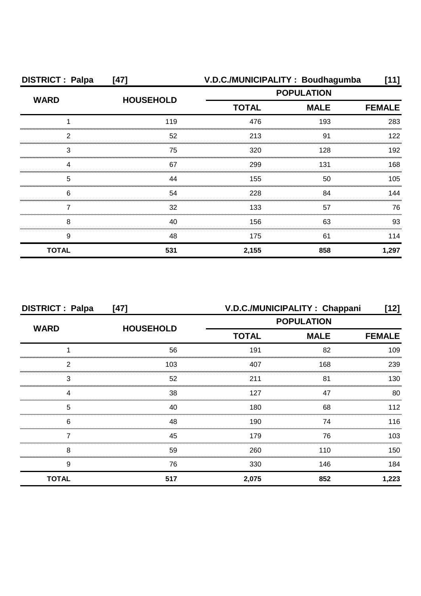| <b>DISTRICT: Palpa</b> | $[47]$           |                                                  | V.D.C./MUNICIPALITY: Boudhagumba | [11]          |
|------------------------|------------------|--------------------------------------------------|----------------------------------|---------------|
| <b>WARD</b>            | <b>HOUSEHOLD</b> | <b>POPULATION</b><br><b>TOTAL</b><br><b>MALE</b> |                                  |               |
|                        |                  |                                                  |                                  | <b>FEMALE</b> |
|                        | 119              | 476                                              | 193                              | 283           |
| 2                      | 52               | 213                                              | 91                               | 122           |
| 3                      | 75               | 320                                              | 128                              | 192           |
|                        | 67               | 299                                              | 131                              | 168           |
| 5                      | 44               | 155                                              | 50                               | 105           |
| 6                      | 54               | 228                                              | 84                               | 144           |
|                        | 32               | 133                                              | 57                               | 76            |
| 8                      | 40               | 156                                              | 63                               | 93            |
| 9                      | 48               | 175                                              | 61                               | 114           |
| <b>TOTAL</b>           | 531              | 2,155                                            | 858                              | 1,297         |

| <b>DISTRICT: Palpa</b><br>$[47]$ |                  |                   | V.D.C./MUNICIPALITY: Chappani | [12]          |
|----------------------------------|------------------|-------------------|-------------------------------|---------------|
| <b>WARD</b>                      | <b>HOUSEHOLD</b> | <b>POPULATION</b> |                               |               |
|                                  |                  | <b>TOTAL</b>      | <b>MALE</b>                   | <b>FEMALE</b> |
|                                  | 56               | 191               | 82                            | 109           |
| 2                                | 103              | 407               | 168                           | 239           |
| 3                                | 52               | 211               | 81                            | 130           |
| Δ                                | 38               | 127               | 47                            | 80            |
| 5                                | 40               | 180               | 68                            | 112           |
| 6                                | 48               | 190               | 74                            | 116           |
|                                  | 45               | 179               | 76                            | 103           |
| 8                                | 59               | 260               | 110                           | 150           |
| 9                                | 76               | 330               | 146                           | 184           |
| <b>TOTAL</b>                     | 517              | 2,075             | 852                           | 1,223         |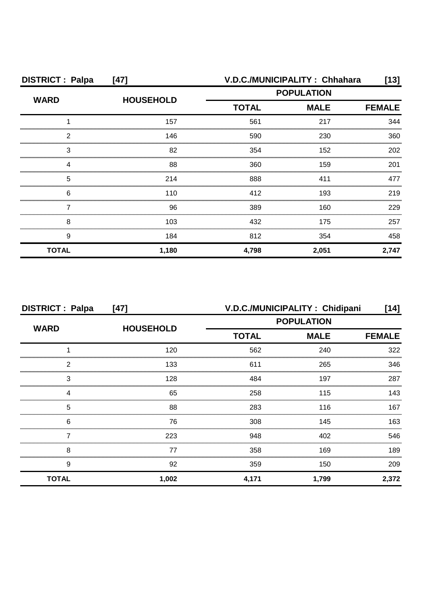| <b>DISTRICT: Palpa</b> | $[47]$           |              | V.D.C./MUNICIPALITY: Chhahara | [13]  |  |
|------------------------|------------------|--------------|-------------------------------|-------|--|
| <b>WARD</b>            | <b>HOUSEHOLD</b> |              | <b>POPULATION</b>             |       |  |
|                        |                  | <b>TOTAL</b> | <b>MALE</b>                   |       |  |
|                        | 157              | 561          | 217                           | 344   |  |
| 2                      | 146              | 590          | 230                           | 360   |  |
| З                      | 82               | 354          | 152                           | 202   |  |
|                        | 88               | 360          | 159                           | 201   |  |
| 5                      | 214              | 888          | 411                           | 477   |  |
| 6                      | 110              | 412          | 193                           | 219   |  |
|                        | 96               | 389          | 160                           | 229   |  |
| 8                      | 103              | 432          | 175                           | 257   |  |
| 9                      | 184              | 812          | 354                           | 458   |  |
| <b>TOTAL</b>           | 1,180            | 4,798        | 2,051                         | 2,747 |  |

| <b>DISTRICT: Palpa</b> | $[47]$           | V.D.C./MUNICIPALITY: Chidipani<br>[14] |                   |               |
|------------------------|------------------|----------------------------------------|-------------------|---------------|
| <b>WARD</b>            | <b>HOUSEHOLD</b> |                                        | <b>POPULATION</b> |               |
|                        |                  | <b>TOTAL</b>                           | <b>MALE</b>       | <b>FEMALE</b> |
|                        | 120              | 562                                    | 240               | 322           |
| 2                      | 133              | 611                                    | 265               | 346           |
| 3                      | 128              | 484                                    | 197               | 287           |
| Δ                      | 65               | 258                                    | 115               | 143           |
| 5                      | 88               | 283                                    | 116               | 167           |
| 6                      | 76               | 308                                    | 145               | 163           |
|                        | 223              | 948                                    | 402               | 546           |
| 8                      | 77               | 358                                    | 169               | 189           |
| 9                      | 92               | 359                                    | 150               | 209           |
| <b>TOTAL</b>           | 1,002            | 4,171                                  | 1,799             | 2,372         |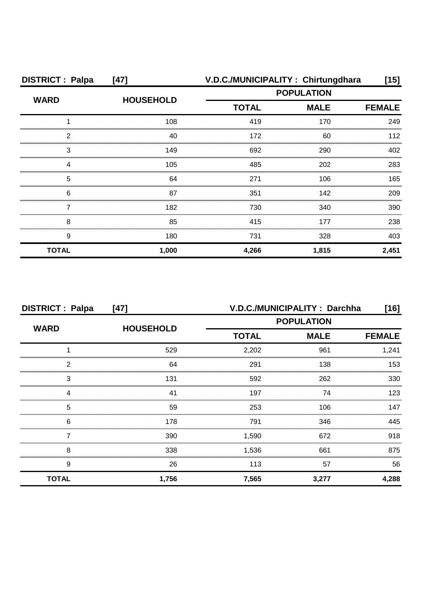| <b>DISTRICT: Palpa</b> | $[47]$           |                                                                             | V.D.C./MUNICIPALITY: Chirtungdhara | [15]          |
|------------------------|------------------|-----------------------------------------------------------------------------|------------------------------------|---------------|
| <b>WARD</b>            | <b>HOUSEHOLD</b> | <b>POPULATION</b><br><b>TOTAL</b><br><b>MALE</b><br>419<br>170<br>172<br>60 |                                    |               |
|                        |                  |                                                                             |                                    | <b>FEMALE</b> |
|                        | 108              |                                                                             |                                    | 249           |
| 2                      | 40               |                                                                             |                                    | 112           |
| 3                      | 149              | 692                                                                         | 290                                | 402           |
|                        | 105              | 485                                                                         | 202                                | 283           |
| 5                      | 64               | 271                                                                         | 106                                | 165           |
| 6                      | 87               | 351                                                                         | 142                                | 209           |
|                        | 182              | 730                                                                         | 340                                | 390           |
| 8                      | 85               | 415                                                                         | 177                                | 238           |
| 9                      | 180              | 731                                                                         | 328                                | 403           |
| <b>TOTAL</b>           | 1,000            | 4,266                                                                       | 1,815                              | 2,451         |

| <b>DISTRICT: Palpa</b> | V.D.C./MUNICIPALITY: Darchha<br>$[47]$ |              |                   | $[16]$        |
|------------------------|----------------------------------------|--------------|-------------------|---------------|
|                        |                                        |              | <b>POPULATION</b> |               |
| <b>WARD</b>            | <b>HOUSEHOLD</b>                       | <b>TOTAL</b> | <b>MALE</b>       | <b>FEMALE</b> |
|                        | 529                                    | 2,202        | 961               | 1,241         |
| 2                      | 64                                     | 291          | 138               | 153           |
| 3                      | 131                                    | 592          | 262               | 330           |
|                        | 41                                     | 197          | 74                | 123           |
| 5                      | 59                                     | 253          | 106               | 147           |
| 6                      | 178                                    | 791          | 346               | 445           |
|                        | 390                                    | 1,590        | 672               | 918           |
| 8                      | 338                                    | 1,536        | 661               | 875           |
| 9                      | 26                                     | 113          | 57                | 56            |
| <b>TOTAL</b>           | 1,756                                  | 7,565        | 3,277             | 4,288         |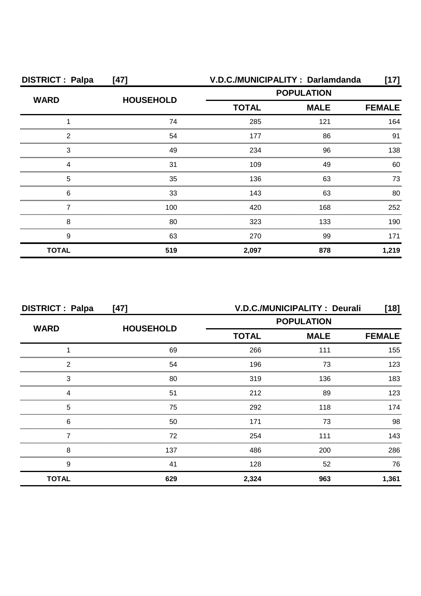| <b>DISTRICT: Palpa</b> | $[47]$           | V.D.C./MUNICIPALITY: Darlamdanda |             | [17]          |
|------------------------|------------------|----------------------------------|-------------|---------------|
| <b>WARD</b>            | <b>HOUSEHOLD</b> | <b>POPULATION</b>                |             |               |
|                        |                  | <b>TOTAL</b>                     | <b>MALE</b> | <b>FEMALE</b> |
|                        | 74               | 285                              | 121         | 164           |
| 2                      | 54               | 177                              | 86          | 91            |
| 3                      | 49               | 234                              | 96          | 138           |
|                        | 31               | 109                              | 49          | 60            |
| 5                      | 35               | 136                              | 63          | 73            |
| 6                      | 33               | 143                              | 63          | 80            |
|                        | 100              | 420                              | 168         | 252           |
| 8                      | 80               | 323                              | 133         | 190           |
| 9                      | 63               | 270                              | 99          | 171           |
| <b>TOTAL</b>           | 519              | 2,097                            | 878         | 1,219         |

| <b>DISTRICT: Palpa</b> | $[47]$           | <b>V.D.C./MUNICIPALITY : Deurali</b><br>[18] |             |               |
|------------------------|------------------|----------------------------------------------|-------------|---------------|
| <b>WARD</b>            | <b>HOUSEHOLD</b> | <b>POPULATION</b>                            |             |               |
|                        |                  | <b>TOTAL</b>                                 | <b>MALE</b> | <b>FEMALE</b> |
|                        | 69               | 266                                          | 111         | 155           |
| 2                      | 54               | 196                                          | 73          | 123           |
| 3                      | 80               | 319                                          | 136         | 183           |
|                        | 51               | 212                                          | 89          | 123           |
| 5                      | 75               | 292                                          | 118         | 174           |
| 6                      | 50               | 171                                          | 73          | 98            |
|                        | 72               | 254                                          | 111         | 143           |
| 8                      | 137              | 486                                          | 200         | 286           |
| 9                      | 41               | 128                                          | 52          | 76            |
| <b>TOTAL</b>           | 629              | 2,324                                        | 963         | 1,361         |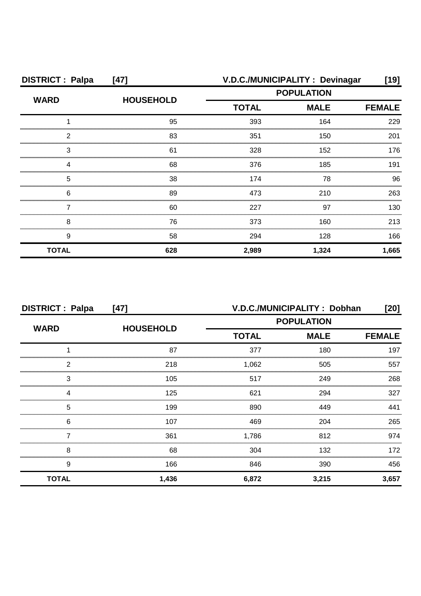| <b>DISTRICT: Palpa</b> | $[47]$           | V.D.C./MUNICIPALITY: Devinagar |             |       |  |
|------------------------|------------------|--------------------------------|-------------|-------|--|
| <b>WARD</b>            | <b>HOUSEHOLD</b> | <b>POPULATION</b>              |             |       |  |
|                        |                  | <b>TOTAL</b>                   | <b>MALE</b> |       |  |
|                        | 95               | 393                            | 164         | 229   |  |
| 2                      | 83               | 351                            | 150         | 201   |  |
| 3                      | 61               | 328                            | 152         | 176   |  |
|                        | 68               | 376                            | 185         | 191   |  |
| 5                      | 38               | 174                            | 78          | 96    |  |
| 6                      | 89               | 473                            | 210         | 263   |  |
|                        | 60               | 227                            | 97          | 130   |  |
| 8                      | 76               | 373                            | 160         | 213   |  |
| 9                      | 58               | 294                            | 128         | 166   |  |
| <b>TOTAL</b>           | 628              | 2,989                          | 1,324       | 1,665 |  |

| <b>DISTRICT: Palpa</b> | $[47]$           | V.D.C./MUNICIPALITY: Dobhan<br>[20] |                   |               |
|------------------------|------------------|-------------------------------------|-------------------|---------------|
| <b>WARD</b>            |                  |                                     | <b>POPULATION</b> |               |
|                        | <b>HOUSEHOLD</b> | <b>TOTAL</b>                        | <b>MALE</b>       | <b>FEMALE</b> |
|                        | 87               | 377                                 | 180               | 197           |
| 2                      | 218              | 1,062                               | 505               | 557           |
| 3                      | 105              | 517                                 | 249               | 268           |
| Δ                      | 125              | 621                                 | 294               | 327           |
| 5                      | 199              | 890                                 | 449               | 441           |
| 6                      | 107              | 469                                 | 204               | 265           |
|                        | 361              | 1,786                               | 812               | 974           |
| 8                      | 68               | 304                                 | 132               | 172           |
| 9                      | 166              | 846                                 | 390               | 456           |
| <b>TOTAL</b>           | 1,436            | 6,872                               | 3,215             | 3,657         |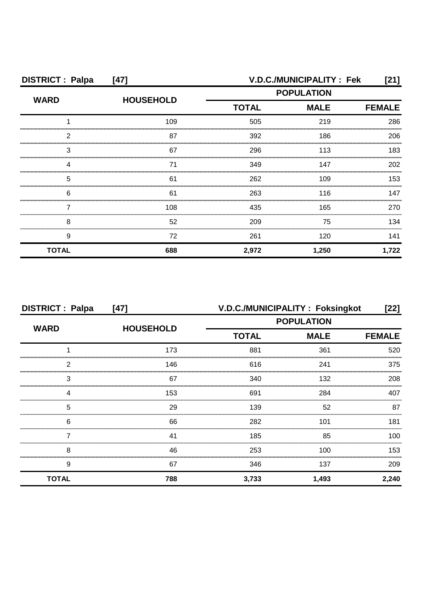| <b>DISTRICT: Palpa</b> | $[47]$           |                   | V.D.C./MUNICIPALITY: Fek | [21]  |
|------------------------|------------------|-------------------|--------------------------|-------|
| <b>WARD</b>            | <b>HOUSEHOLD</b> | <b>POPULATION</b> |                          |       |
|                        |                  | <b>TOTAL</b>      | <b>FEMALE</b>            |       |
|                        | 109              | 505               | 219                      | 286   |
| 2                      | 87               | 392               | 186                      | 206   |
| 3                      | 67               | 296               | 113                      | 183   |
|                        | 71               | 349               | 147                      | 202   |
| 5                      | 61               | 262               | 109                      | 153   |
| 6                      | 61               | 263               | 116                      | 147   |
|                        | 108              | 435               | 165                      | 270   |
| 8                      | 52               | 209               | 75                       | 134   |
| 9                      | 72               | 261               | 120                      | 141   |
| <b>TOTAL</b>           | 688              | 2,972             | 1,250                    | 1,722 |

| <b>DISTRICT: Palpa</b> | $[47]$           | V.D.C./MUNICIPALITY : Foksingkot |             | [22]          |
|------------------------|------------------|----------------------------------|-------------|---------------|
| <b>WARD</b>            |                  | <b>POPULATION</b>                |             |               |
|                        | <b>HOUSEHOLD</b> | <b>TOTAL</b>                     | <b>MALE</b> | <b>FEMALE</b> |
|                        | 173              | 881                              | 361         | 520           |
| 2                      | 146              | 616                              | 241         | 375           |
| 3                      | 67               | 340                              | 132         | 208           |
| Δ                      | 153              | 691                              | 284         | 407           |
| 5                      | 29               | 139                              | 52          | 87            |
| 6                      | 66               | 282                              | 101         | 181           |
|                        | 41               | 185                              | 85          | 100.          |
| 8                      | 46               | 253                              | 100         | 153           |
| 9                      | 67               | 346                              | 137         | 209           |
| <b>TOTAL</b>           | 788              | 3,733                            | 1,493       | 2,240         |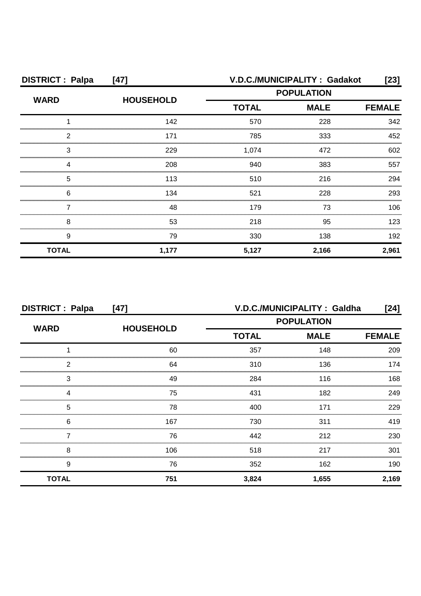| <b>DISTRICT: Palpa</b> | $[47]$           |                                                  | V.D.C./MUNICIPALITY: Gadakot |               |
|------------------------|------------------|--------------------------------------------------|------------------------------|---------------|
| <b>WARD</b>            | <b>HOUSEHOLD</b> | <b>POPULATION</b><br><b>MALE</b><br><b>TOTAL</b> |                              |               |
|                        |                  |                                                  |                              | <b>FEMALE</b> |
|                        | 142              | 570                                              | 228                          | 342           |
| 2                      | 171              | 785                                              | 333                          | 452           |
| 3                      | 229              | 1,074                                            | 472                          | 602           |
|                        | 208              | 940                                              | 383                          | 557           |
| 5                      | 113              | 510                                              | 216                          | 294           |
| 6                      | 134              | 521                                              | 228                          | 293           |
|                        | 48               | 179                                              | 73                           | 106           |
| 8                      | 53               | 218                                              | 95                           | 123           |
| 9                      | 79               | 330                                              | 138                          | 192           |
| <b>TOTAL</b>           | 1,177            | 5,127                                            | 2,166                        | 2,961         |

| <b>DISTRICT: Palpa</b><br>$[47]$ |                  | V.D.C./MUNICIPALITY: Galdha<br>$[24]$ |             |               |
|----------------------------------|------------------|---------------------------------------|-------------|---------------|
|                                  |                  | <b>POPULATION</b>                     |             |               |
| <b>WARD</b>                      | <b>HOUSEHOLD</b> | <b>TOTAL</b>                          | <b>MALE</b> | <b>FEMALE</b> |
|                                  | 60               | 357                                   | 148         | 209           |
| 2                                | 64               | 310                                   | 136         | 174           |
| 3                                | 49               | 284                                   | 116         | 168           |
| 4                                | 75               | 431                                   | 182         | 249           |
| 5                                | 78               | 400                                   | 171         | 229           |
| 6                                | 167              | 730                                   | 311         | 419           |
|                                  | 76               | 442                                   | 212         | 230           |
| 8                                | 106              | 518                                   | 217         | 301           |
| 9                                | 76               | 352                                   | 162         | 190           |
| <b>TOTAL</b>                     | 751              | 3,824                                 | 1,655       | 2,169         |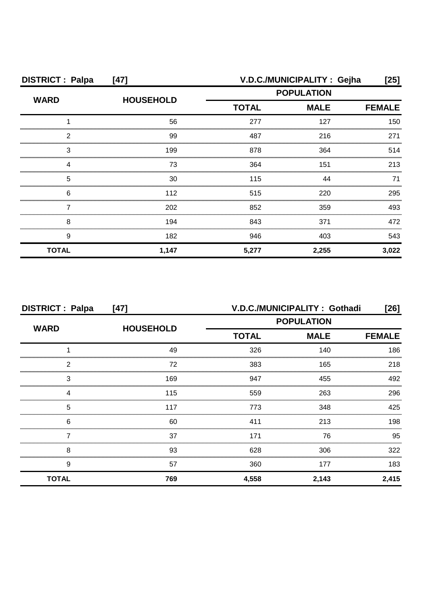| <b>DISTRICT: Palpa</b> | $[47]$           |                   | V.D.C./MUNICIPALITY: Gejha | [25]          |
|------------------------|------------------|-------------------|----------------------------|---------------|
| <b>WARD</b>            | <b>HOUSEHOLD</b> | <b>POPULATION</b> |                            |               |
|                        |                  | <b>TOTAL</b>      | <b>MALE</b>                | <b>FEMALE</b> |
|                        | 56               | 277               | 127                        | 150           |
| 2                      | 99               | 487               | 216                        | 271           |
| З                      | 199              | 878               | 364                        | 514           |
|                        | 73               | 364               | 151                        | 213           |
| 5                      | 30               | 115               | 44                         | 71            |
| 6                      | 112              | 515               | 220                        | 295           |
|                        | 202              | 852               | 359                        | 493           |
| 8                      | 194              | 843               | 371                        | 472           |
| 9                      | 182              | 946               | 403                        | 543           |
| <b>TOTAL</b>           | 1,147            | 5,277             | 2,255                      | 3,022         |

| <b>DISTRICT: Palpa</b> | $[47]$           |                             | V.D.C./MUNICIPALITY: Gothadi | $[26]$ |
|------------------------|------------------|-----------------------------|------------------------------|--------|
| <b>WARD</b>            | <b>HOUSEHOLD</b> |                             | <b>POPULATION</b>            |        |
|                        |                  | <b>TOTAL</b><br><b>MALE</b> | <b>FEMALE</b>                |        |
|                        | 49               | 326                         | 140                          | 186    |
| 2                      | 72               | 383                         | 165                          | 218    |
| 3                      | 169              | 947                         | 455                          | 492    |
| 4                      | 115              | 559                         | 263                          | 296    |
| 5                      | 117              | 773                         | 348                          | 425    |
| 6                      | 60               | 411                         | 213                          | 198    |
|                        | 37               | 171                         | 76                           | 95     |
| 8                      | 93               | 628                         | 306                          | 322    |
| 9                      | 57               | 360                         | 177                          | 183    |
| <b>TOTAL</b>           | 769              | 4,558                       | 2,143                        | 2,415  |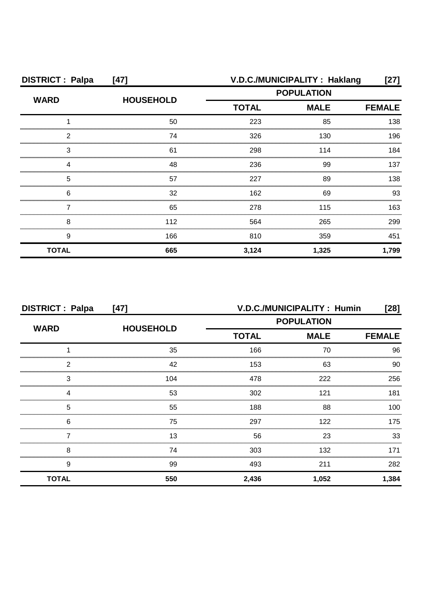| <b>DISTRICT: Palpa</b> | $[47]$           |                             | V.D.C./MUNICIPALITY: Haklang | [27]          |
|------------------------|------------------|-----------------------------|------------------------------|---------------|
| <b>WARD</b>            | <b>HOUSEHOLD</b> | <b>POPULATION</b>           |                              |               |
|                        |                  | <b>TOTAL</b><br><b>MALE</b> |                              | <b>FEMALE</b> |
|                        | 50               | 223                         | 85                           | 138           |
| 2                      | 74               | 326                         | 130                          | 196           |
| З                      | 61               | 298                         | 114                          | 184           |
|                        | 48               | 236                         | 99                           | 137           |
| 5                      | 57               | 227                         | 89                           | 138           |
| 6                      | 32               | 162                         | 69                           | 93            |
|                        | 65               | 278                         | 115                          | 163           |
| 8                      | 112              | 564                         | 265                          | 299           |
| 9                      | 166              | 810                         | 359                          | 451           |
| <b>TOTAL</b>           | 665              | 3,124                       | 1,325                        | 1,799         |

| <b>DISTRICT: Palpa</b><br>$[47]$ |                  | V.D.C./MUNICIPALITY: Humin<br>[28] |             |               |
|----------------------------------|------------------|------------------------------------|-------------|---------------|
| <b>WARD</b>                      | <b>HOUSEHOLD</b> | <b>POPULATION</b>                  |             |               |
|                                  |                  | <b>TOTAL</b>                       | <b>MALE</b> | <b>FEMALE</b> |
|                                  | 35               | 166                                | 70          | 96            |
| 2                                | 42               | 153                                | 63          | 90            |
| 3                                | 104              | 478                                | 222         | 256           |
|                                  | 53               | 302                                | 121         | 181           |
| 5                                | 55               | 188                                | 88          | 100.          |
| 6                                | 75               | 297                                | 122         | 175           |
|                                  | 13               | 56                                 | 23          | 33            |
| 8                                | 74               | 303                                | 132         | 171           |
| 9                                | 99               | 493                                | 211         | 282           |
| <b>TOTAL</b>                     | 550              | 2,436                              | 1,052       | 1,384         |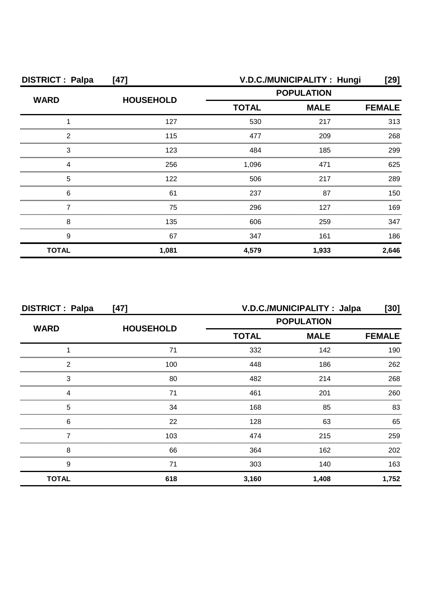| <b>DISTRICT: Palpa</b> | $[47]$           |                   | V.D.C./MUNICIPALITY: Hungi | [29]          |
|------------------------|------------------|-------------------|----------------------------|---------------|
| <b>WARD</b>            | <b>HOUSEHOLD</b> | <b>POPULATION</b> |                            |               |
|                        |                  | <b>TOTAL</b>      | <b>MALE</b>                | <b>FEMALE</b> |
|                        | 127              | 530               | 217                        | 313           |
| っ                      | 115              | 477               | 209                        | 268           |
| 3                      | 123              | 484               | 185                        | 299           |
|                        | 256              | 1,096             | 471                        | 625           |
| 5                      | 122              | 506               | 217                        | 289           |
| 6                      | 61               | 237               | 87                         | 150           |
|                        | 75               | 296               | 127                        | 169           |
| 8                      | 135              | 606               | 259                        | 347           |
| 9                      | 67               | 347               | 161                        | 186           |
| <b>TOTAL</b>           | 1,081            | 4,579             | 1,933                      | 2,646         |

| <b>DISTRICT: Palpa</b><br>$[47]$ |                  | V.D.C./MUNICIPALITY: Jalpa<br>[30] |             |               |
|----------------------------------|------------------|------------------------------------|-------------|---------------|
| <b>WARD</b>                      |                  | <b>POPULATION</b>                  |             |               |
|                                  | <b>HOUSEHOLD</b> | <b>TOTAL</b>                       | <b>MALE</b> | <b>FEMALE</b> |
|                                  | 71               | 332                                | 142         | 190           |
| 2                                | 100              | 448                                | 186         | 262           |
| 3                                | 80               | 482                                | 214         | 268           |
| Δ                                | 71               | 461                                | 201         | 260           |
| 5                                | 34               | 168                                | 85          | 83            |
| 6                                | 22               | 128                                | 63          | 65            |
|                                  | 103              | 474                                | 215         | 259           |
| 8                                | 66               | 364                                | 162         | 202           |
| 9                                | 71               | 303                                | 140         | 163           |
| <b>TOTAL</b>                     | 618              | 3,160                              | 1,408       | 1,752         |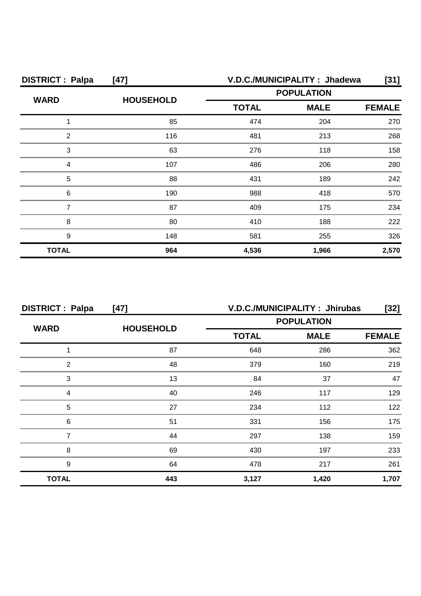| <b>DISTRICT: Palpa</b> | $[47]$           |                   | V.D.C./MUNICIPALITY: Jhadewa | [31]          |
|------------------------|------------------|-------------------|------------------------------|---------------|
| <b>WARD</b>            | <b>HOUSEHOLD</b> | <b>POPULATION</b> |                              |               |
|                        |                  | <b>TOTAL</b>      | <b>MALE</b>                  | <b>FEMALE</b> |
|                        | 85               | 474               | 204                          | 270           |
| 2                      | 116              | 481               | 213                          | 268           |
| З                      | 63               | 276               | 118                          | 158           |
|                        | 107              | 486               | 206                          | 280           |
| 5                      | 88               | 431               | 189                          | 242           |
| 6                      | 190              | 988               | 418                          | 570           |
|                        | 87               | 409               | 175                          | 234           |
| 8                      | 80               | 410               | 188                          | 222           |
| 9                      | 148              | 581               | 255                          | 326           |
| <b>TOTAL</b>           | 964              | 4,536             | 1,966                        | 2,570         |

| <b>DISTRICT: Palpa</b> | $[47]$           | V.D.C./MUNICIPALITY: Jhirubas<br>$[32]$ |             |               |
|------------------------|------------------|-----------------------------------------|-------------|---------------|
| <b>WARD</b>            |                  | <b>POPULATION</b>                       |             |               |
|                        | <b>HOUSEHOLD</b> | <b>TOTAL</b>                            | <b>MALE</b> | <b>FEMALE</b> |
|                        | 87               | 648                                     | 286         | 362           |
| 2                      | 48               | 379                                     | 160         | 219           |
| 3                      | 13               | 84                                      | 37          |               |
|                        | 40               | 246                                     | 117         | 129           |
| 5                      | 27               | 234                                     | 112         | 122           |
| 6                      | 51               | 331                                     | 156         | 175           |
|                        | 44               | 297                                     | 138         | 159           |
| 8                      | 69               | 430                                     | 197         | 233           |
| 9                      | 64               | 478                                     | 217         | 261           |
| <b>TOTAL</b>           | 443              | 3,127                                   | 1,420       | 1,707         |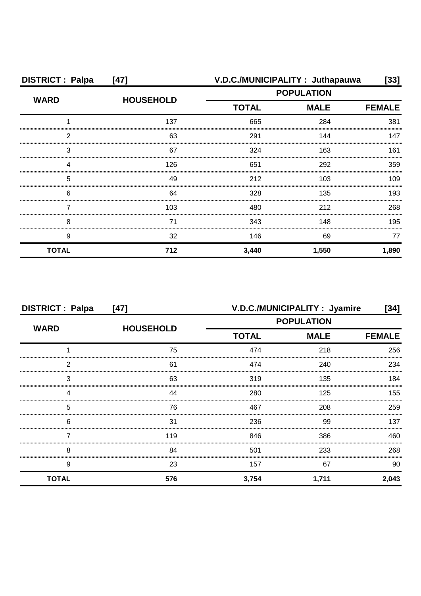| <b>DISTRICT: Palpa</b> | $[47]$           |              | V.D.C./MUNICIPALITY: Juthapauwa | $[33]$        |
|------------------------|------------------|--------------|---------------------------------|---------------|
| <b>WARD</b>            | <b>HOUSEHOLD</b> |              | <b>POPULATION</b>               |               |
|                        |                  | <b>TOTAL</b> | <b>MALE</b>                     | <b>FEMALE</b> |
|                        | 137              | 665          | 284                             | 381           |
| っ                      | 63               | 291          | 144                             | 147           |
| З                      | 67               | 324          | 163                             | 161           |
|                        | 126              | 651          | 292                             | 359           |
| 5                      | 49               | 212          | 103                             | 109           |
| 6                      | 64               | 328          | 135                             | 193           |
|                        | 103              | 480          | 212                             | 268           |
| 8                      | 71               | 343          | 148                             | 195           |
| 9                      | 32               | 146          | 69                              | 77            |
| <b>TOTAL</b>           | 712              | 3,440        | 1,550                           | 1,890         |

| <b>DISTRICT: Palpa</b> | $[47]$           |              | V.D.C./MUNICIPALITY : Jyamire | [34]          |
|------------------------|------------------|--------------|-------------------------------|---------------|
| <b>WARD</b>            | <b>HOUSEHOLD</b> |              | <b>POPULATION</b>             |               |
|                        |                  | <b>TOTAL</b> | <b>MALE</b>                   | <b>FEMALE</b> |
|                        | 75               | 474          | 218                           | 256           |
| 2                      | 61               | 474          | 240                           | 234           |
| 3                      | 63               | 319          | 135                           | 184           |
|                        | 44               | 280          | 125                           | 155           |
| 5                      | 76               | 467          | 208                           | 259           |
| 6                      | 31               | 236          | 99                            | 137           |
|                        | 119              | 846          | 386                           | 460           |
| 8                      | 84               | 501          | 233                           | 268           |
| 9                      | 23               | 157          | 67                            | 90            |
| <b>TOTAL</b>           | 576              | 3,754        | 1,711                         | 2,043         |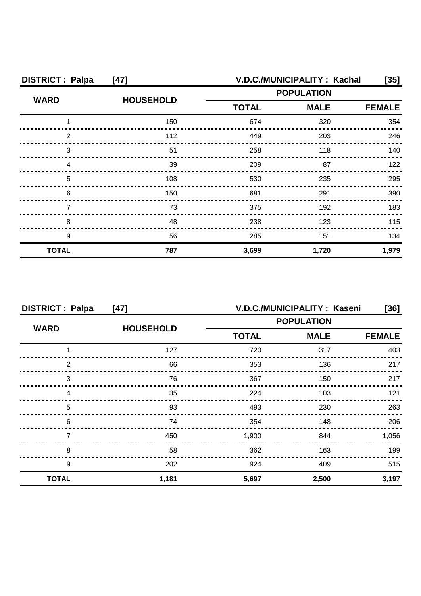| <b>DISTRICT: Palpa</b> | $[47]$           | V.D.C./MUNICIPALITY : Kachal<br>[35] |               |       |
|------------------------|------------------|--------------------------------------|---------------|-------|
| <b>WARD</b>            | <b>HOUSEHOLD</b> | <b>POPULATION</b>                    |               |       |
|                        |                  | <b>TOTAL</b>                         | <b>FEMALE</b> |       |
|                        | 150              | 674                                  | 320           | 354   |
| 2                      | 112              | 449                                  | 203           | 246   |
| З                      | 51               | 258                                  | 118           | 140   |
|                        | 39               | 209                                  | 87            | 122.  |
| 5                      | 108              | 530                                  | 235           | 295   |
| 6                      | 150              | 681                                  | 291           | 390   |
|                        | 73               | 375                                  | 192           | 183   |
| 8                      | 48               | 238                                  | 123           | 115   |
| 9                      | 56               | 285                                  | 151           | 134   |
| <b>TOTAL</b>           | 787              | 3,699                                | 1,720         | 1,979 |

| <b>DISTRICT: Palpa</b><br>$[47]$ |                  | V.D.C./MUNICIPALITY: Kaseni<br>[36] |                   |               |  |
|----------------------------------|------------------|-------------------------------------|-------------------|---------------|--|
| <b>WARD</b>                      |                  |                                     | <b>POPULATION</b> |               |  |
|                                  | <b>HOUSEHOLD</b> | <b>TOTAL</b>                        | <b>MALE</b>       | <b>FEMALE</b> |  |
|                                  | 127              | 720                                 | 317               | 403           |  |
| 2                                | 66               | 353                                 | 136               | 217           |  |
| 3                                | 76               | 367                                 | 150               | 217           |  |
| Δ                                | 35               | 224                                 | 103               | 121           |  |
| 5                                | 93               | 493                                 | 230               | 263           |  |
| 6                                | 74               | 354                                 | 148               | 206           |  |
|                                  | 450              | 1,900                               | 844               | 1,056         |  |
| 8                                | 58               | 362                                 | 163               | 199           |  |
| 9                                | 202              | 924                                 | 409               | 515           |  |
| <b>TOTAL</b>                     | 1,181            | 5,697                               | 2,500             | 3,197         |  |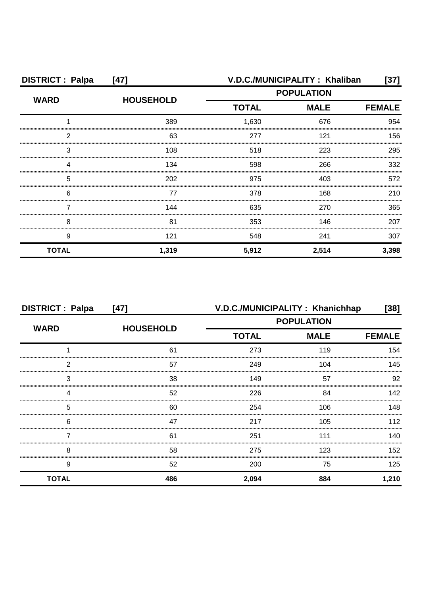| <b>DISTRICT: Palpa</b> | $[47]$           |                             | V.D.C./MUNICIPALITY: Khaliban | [37]          |
|------------------------|------------------|-----------------------------|-------------------------------|---------------|
| <b>WARD</b>            | <b>HOUSEHOLD</b> | <b>POPULATION</b>           |                               |               |
|                        |                  | <b>TOTAL</b><br><b>MALE</b> |                               | <b>FEMALE</b> |
|                        | 389              | 1,630                       | 676                           | 954           |
| 2                      | 63               | 277                         | 121                           | 156           |
| З                      | 108              | 518                         | 223                           | 295           |
|                        | 134              | 598                         | 266                           | 332           |
| 5                      | 202              | 975                         | 403                           | 572           |
| 6                      | 77               | 378                         | 168                           | 210           |
|                        | 144              | 635                         | 270                           | 365           |
| 8                      | 81               | 353                         | 146                           | 207           |
| 9                      | 121              | 548                         | 241                           | 307           |
| <b>TOTAL</b>           | 1,319            | 5,912                       | 2,514                         | 3,398         |

| <b>DISTRICT: Palpa</b> | $[47]$           | V.D.C./MUNICIPALITY: Khanichhap |                   | $[38]$        |
|------------------------|------------------|---------------------------------|-------------------|---------------|
|                        | <b>HOUSEHOLD</b> |                                 | <b>POPULATION</b> |               |
| <b>WARD</b>            |                  | <b>TOTAL</b>                    | <b>MALE</b>       | <b>FEMALE</b> |
|                        | 61               | 273                             | 119               | 154           |
| 2                      | 57               | 249                             | 104               | 145           |
| 3                      | 38               | 149                             | 57                | 92            |
| Δ                      | 52               | 226                             | 84                | 142           |
| 5                      | 60               | 254                             | 106               | 148           |
| 6                      | 47               | 217                             | 105               | 112           |
|                        | 61               | 251                             | 111               | 140.          |
| 8                      | 58               | 275                             | 123               | 152           |
| 9                      | 52               | 200                             | 75                | 125           |
| <b>TOTAL</b>           | 486              | 2,094                           | 884               | 1,210         |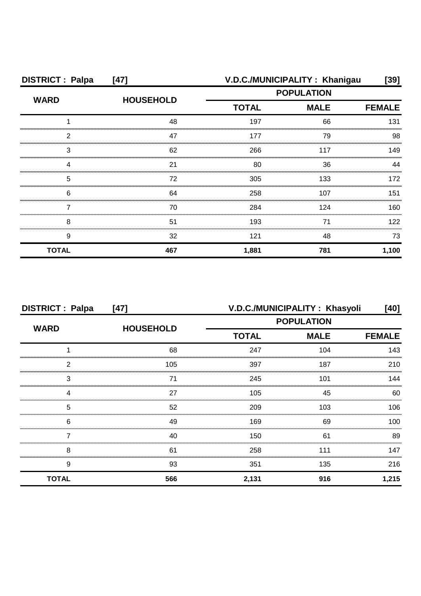| <b>DISTRICT: Palpa</b> | $[47]$           |              | V.D.C./MUNICIPALITY: Khanigau | [39]          |
|------------------------|------------------|--------------|-------------------------------|---------------|
| <b>WARD</b>            |                  |              | <b>POPULATION</b>             |               |
|                        | <b>HOUSEHOLD</b> | <b>TOTAL</b> | <b>MALE</b>                   | <b>FEMALE</b> |
|                        | 48               | 197          | 66                            | 131           |
| 2                      | 47               | 177          | 79                            | 98            |
| 3                      | 62               | 266          | 117                           | 149           |
|                        | 21               | 80           | 36                            | ΔΔ            |
| 5                      | 72               | 305          | 133                           | 172           |
| 6                      | 64               | 258          | 107                           | 151           |
|                        | 70               | 284          | 124                           | 160           |
| 8                      | 51               | 193          | 71                            | 122           |
| 9                      | 32               | 121          | 48                            | 73            |
| <b>TOTAL</b>           | 467              | 1,881        | 781                           | 1,100         |

| <b>DISTRICT: Palpa</b><br>$[47]$ |                  |                   | V.D.C./MUNICIPALITY: Khasyoli | [40]          |
|----------------------------------|------------------|-------------------|-------------------------------|---------------|
| <b>WARD</b>                      |                  | <b>POPULATION</b> |                               |               |
|                                  | <b>HOUSEHOLD</b> | <b>TOTAL</b>      | <b>MALE</b>                   | <b>FEMALE</b> |
|                                  | 68               | 247               | 104                           | 143           |
| っ                                | 105              | 397               | 187                           | 210           |
| 3                                | 71               | 245               | 101                           | 144           |
|                                  | 27               | 105               | 45                            | 60            |
| 5                                | 52               | 209               | 103                           | 106           |
| 6                                | 49               | 169               | 69                            | 100.          |
|                                  | 40               | 150               | 61                            | 89            |
| 8                                | 61               | 258               | 111                           | 147           |
| 9                                | 93               | 351               | 135                           | 216           |
| <b>TOTAL</b>                     | 566              | 2,131             | 916                           | 1,215         |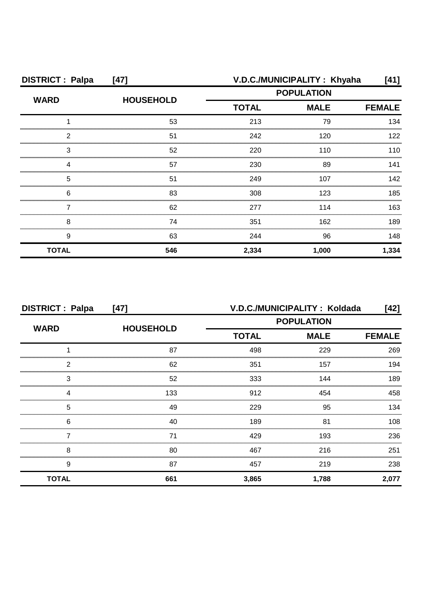| <b>DISTRICT: Palpa</b> | $[47]$           |              | V.D.C./MUNICIPALITY: Khyaha | [41]  |
|------------------------|------------------|--------------|-----------------------------|-------|
| <b>WARD</b>            | <b>HOUSEHOLD</b> |              | <b>POPULATION</b>           |       |
|                        |                  | <b>TOTAL</b> | <b>FEMALE</b>               |       |
|                        | 53               | 213          | 79                          | 134   |
| 2                      | 51               | 242          | 120                         | 122   |
| 3                      | 52               | 220          | 110                         | 110   |
|                        | 57               | 230          | 89                          | 141   |
| 5                      | 51               | 249          | 107                         | 142   |
| 6                      | 83               | 308          | 123                         | 185   |
|                        | 62               | 277          | 114                         | 163   |
| 8                      | 74               | 351          | 162                         | 189   |
| 9                      | 63               | 244          | 96                          | 148   |
| <b>TOTAL</b>           | 546              | 2,334        | 1,000                       | 1,334 |

| <b>DISTRICT: Palpa</b><br>$[47]$ |                  | V.D.C./MUNICIPALITY: Koldada<br>[42] |             |               |
|----------------------------------|------------------|--------------------------------------|-------------|---------------|
| <b>WARD</b>                      |                  | <b>POPULATION</b>                    |             |               |
|                                  | <b>HOUSEHOLD</b> | <b>TOTAL</b>                         | <b>MALE</b> | <b>FEMALE</b> |
|                                  | 87               | 498                                  | 229         | 269           |
| 2                                | 62               | 351                                  | 157         | 194           |
| 3                                | 52               | 333                                  | 144         | 189           |
| 4                                | 133              | 912                                  | 454         | 458           |
| 5                                | 49               | 229                                  | 95          | 134           |
| 6                                | 40               | 189                                  | 81          | 108           |
|                                  | 71               | 429                                  | 193         | 236           |
| 8                                | 80               | 467                                  | 216         | 251           |
| 9                                | 87               | 457                                  | 219         | 238           |
| <b>TOTAL</b>                     | 661              | 3,865                                | 1,788       | 2,077         |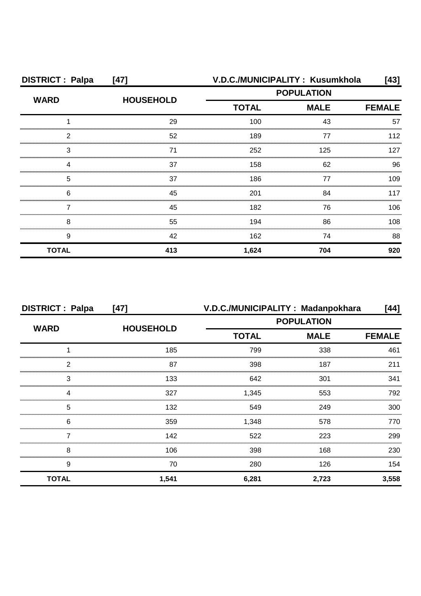| <b>DISTRICT: Palpa</b> | $[47]$           | V.D.C./MUNICIPALITY: Kusumkhola                  |               | [43] |
|------------------------|------------------|--------------------------------------------------|---------------|------|
| <b>WARD</b>            | <b>HOUSEHOLD</b> | <b>POPULATION</b><br><b>MALE</b><br><b>TOTAL</b> |               |      |
|                        |                  |                                                  | <b>FEMALE</b> |      |
|                        | 29               | 100                                              | 43            | 57   |
| 2                      | 52               | 189                                              | 77            | 112  |
| 3                      |                  | 252                                              | 125           | 127  |
|                        | 37               | 158                                              | 62            | 96   |
| 5                      | 37               | 186                                              | 77            | 109  |
| 6                      | 45               | 201                                              | 84            | 117  |
|                        | 45               | 182                                              | 76            | 106  |
| 8                      | 55               | 194                                              | 86            | 108  |
| 9                      | 42               | 162                                              | 74            | 88   |
| <b>TOTAL</b>           | 413              | 1,624                                            | 704           | 920  |

| <b>DISTRICT: Palpa</b> | $[47]$           |                             | V.D.C./MUNICIPALITY: Madanpokhara | [44]          |  |
|------------------------|------------------|-----------------------------|-----------------------------------|---------------|--|
|                        |                  | <b>POPULATION</b>           |                                   |               |  |
| <b>WARD</b>            | <b>HOUSEHOLD</b> | <b>TOTAL</b><br><b>MALE</b> |                                   | <b>FEMALE</b> |  |
|                        | 185              | 799                         | 338                               | 461           |  |
| 2                      | 87               | 398                         | 187                               | 211           |  |
| 3                      | 133              | 642                         | 301                               | 341           |  |
|                        | 327              | 1,345                       | 553                               | 792           |  |
| 5                      | 132              | 549                         | 249                               | 300           |  |
| 6                      | 359              | 1,348                       | 578                               | 770           |  |
|                        | 142              | 522                         | 223                               | 299           |  |
| 8                      | 106              | 398                         | 168                               | 230           |  |
| 9                      | 70               | 280                         | 126                               | 154           |  |
| <b>TOTAL</b>           | 1,541            | 6,281                       | 2,723                             | 3,558         |  |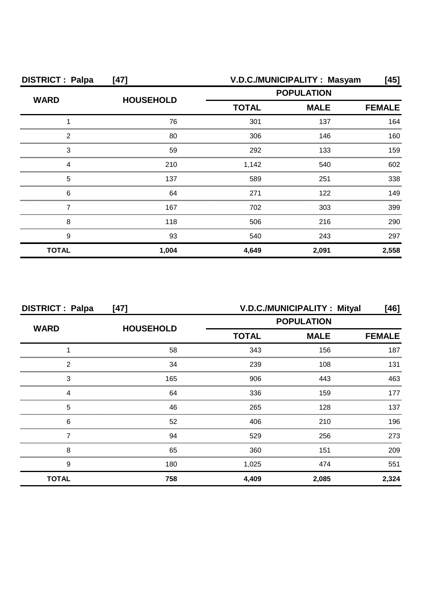| <b>DISTRICT: Palpa</b> | $[47]$           |                                                  | V.D.C./MUNICIPALITY: Masyam | [45]  |
|------------------------|------------------|--------------------------------------------------|-----------------------------|-------|
|                        | <b>HOUSEHOLD</b> | <b>POPULATION</b><br><b>TOTAL</b><br><b>MALE</b> |                             |       |
| <b>WARD</b>            |                  |                                                  | <b>FEMALE</b>               |       |
|                        | 76               | 301                                              | 137                         | 164   |
| 2                      | 80               | 306                                              | 146                         | 160   |
| З                      | 59               | 292                                              | 133                         | 159   |
|                        | 210              | 1,142                                            | 540                         | 602   |
| 5                      | 137              | 589                                              | 251                         | 338   |
| 6                      | 64               | 271                                              | 122                         | 149   |
|                        | 167              | 702                                              | 303                         | 399   |
| 8                      | 118              | 506                                              | 216                         | 290   |
| 9                      | 93               | 540                                              | 243                         | 297   |
| <b>TOTAL</b>           | 1,004            | 4,649                                            | 2,091                       | 2,558 |

| <b>DISTRICT: Palpa</b> | $[47]$           |              | V.D.C./MUNICIPALITY: Mityal | [46]          |
|------------------------|------------------|--------------|-----------------------------|---------------|
|                        | <b>HOUSEHOLD</b> |              | <b>POPULATION</b>           |               |
| <b>WARD</b>            |                  | <b>TOTAL</b> | <b>MALE</b>                 | <b>FEMALE</b> |
|                        | 58               | 343          | 156                         | 187           |
| 2                      | 34               | 239          | 108                         | 131           |
| 3                      | 165              | 906          | 443                         | 463           |
| Δ                      | 64               | 336          | 159                         | 177           |
| 5                      | 46               | 265          | 128                         | 137           |
| 6                      | 52               | 406          | 210                         | 196           |
|                        | 94               | 529          | 256                         | 273           |
| 8                      | 65               | 360          | 151                         | 209           |
| 9                      | 180              | 1,025        | 474                         | 551           |
| <b>TOTAL</b>           | 758              | 4,409        | 2,085                       | 2,324         |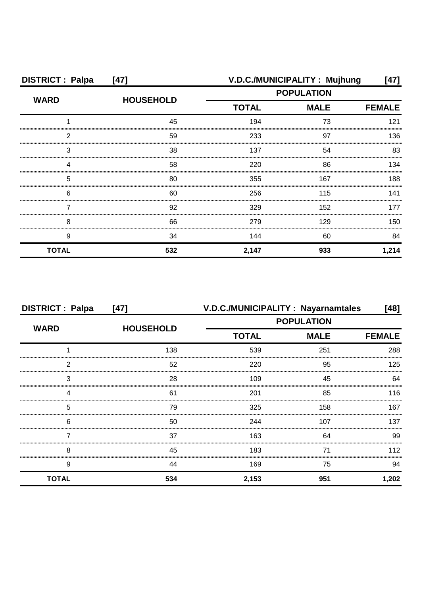| <b>DISTRICT: Palpa</b> | $[47]$           |                   | V.D.C./MUNICIPALITY: Mujhung | [47]  |
|------------------------|------------------|-------------------|------------------------------|-------|
| <b>WARD</b>            | <b>HOUSEHOLD</b> | <b>POPULATION</b> |                              |       |
|                        |                  | <b>TOTAL</b>      | <b>FEMALE</b>                |       |
|                        | 45               | 194               | 73                           | 121   |
| 2                      | 59               | 233               | 97                           | 136   |
| З                      | 38               | 137               | 54                           | 83    |
|                        | 58               | 220               | 86                           | 134   |
| 5                      | 80               | 355               | 167                          | 188   |
| 6                      | 60               | 256               | 115                          | 141   |
|                        | 92               | 329               | 152                          | 177   |
| 8                      | 66               | 279               | 129                          | 150.  |
| 9                      | 34               | 144               | 60                           | 84    |
| <b>TOTAL</b>           | 532              | 2,147             | 933                          | 1,214 |

| <b>DISTRICT: Palpa</b> | $[47]$           |              | V.D.C./MUNICIPALITY : Nayarnamtales | [48]          |
|------------------------|------------------|--------------|-------------------------------------|---------------|
| <b>WARD</b>            |                  |              | <b>POPULATION</b>                   |               |
|                        | <b>HOUSEHOLD</b> | <b>TOTAL</b> | <b>MALE</b>                         | <b>FEMALE</b> |
|                        | 138              | 539          | 251                                 | 288           |
| 2                      | 52               | 220          | 95                                  | 125           |
| 3                      | 28               | 109          | 45                                  | 64            |
|                        | 61               | 201          | 85                                  | 116           |
| 5                      | 79               | 325          | 158                                 | 167           |
| 6                      | 50               | 244          | 107                                 | 137           |
|                        | 37               | 163          | 64                                  | 99            |
| 8                      | 45               | 183          | 71                                  | 112           |
| 9                      | 44               | 169          | 75                                  | 94            |
| <b>TOTAL</b>           | 534              | 2,153        | 951                                 | 1,202         |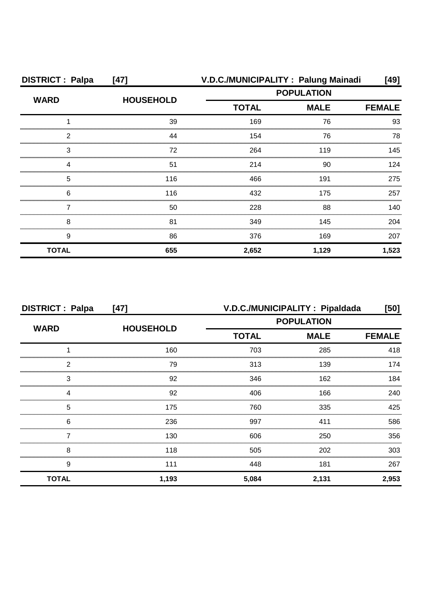| <b>DISTRICT: Palpa</b> | $[47]$           | V.D.C./MUNICIPALITY: Palung Mainadi |               | [49]  |
|------------------------|------------------|-------------------------------------|---------------|-------|
| <b>WARD</b>            | <b>HOUSEHOLD</b> | <b>POPULATION</b>                   |               |       |
|                        |                  | <b>TOTAL</b><br><b>MALE</b>         | <b>FEMALE</b> |       |
|                        | 39               | 169                                 | 76            | 93    |
| 2                      | 44               | 154                                 | 76            | 78    |
| 3                      | 72               | 264                                 | 119           | 145   |
| Δ                      | 51               | 214                                 | 90            | 124   |
| 5                      | 116              | 466                                 | 191           | 275   |
| 6                      | 116              | 432                                 | 175           | 257   |
|                        | 50               | 228                                 | 88            | 140   |
| 8                      | 81               | 349                                 | 145           | 204   |
| 9                      | 86               | 376                                 | 169           | 207   |
| <b>TOTAL</b>           | 655              | 2,652                               | 1,129         | 1,523 |

| <b>DISTRICT: Palpa</b><br>$[47]$ |                  |                   | V.D.C./MUNICIPALITY: Pipaldada | [50]          |
|----------------------------------|------------------|-------------------|--------------------------------|---------------|
| <b>WARD</b>                      | <b>HOUSEHOLD</b> | <b>POPULATION</b> |                                |               |
|                                  |                  | <b>TOTAL</b>      | <b>MALE</b>                    | <b>FEMALE</b> |
|                                  | 160              | 703               | 285                            | 418           |
| 2                                | 79               | 313               | 139                            | 174           |
| 3                                | 92               | 346               | 162                            | 184           |
| Δ                                | 92               | 406               | 166                            | 240           |
| 5                                | 175              | 760               | 335                            | 425           |
| 6                                | 236              | 997               | 411                            | 586           |
|                                  | 130              | 606               | 250                            | 356           |
| 8                                | 118              | 505               | 202                            | 303           |
| 9                                | 111              | 448               | 181                            | 267           |
| <b>TOTAL</b>                     | 1,193            | 5,084             | 2,131                          | 2,953         |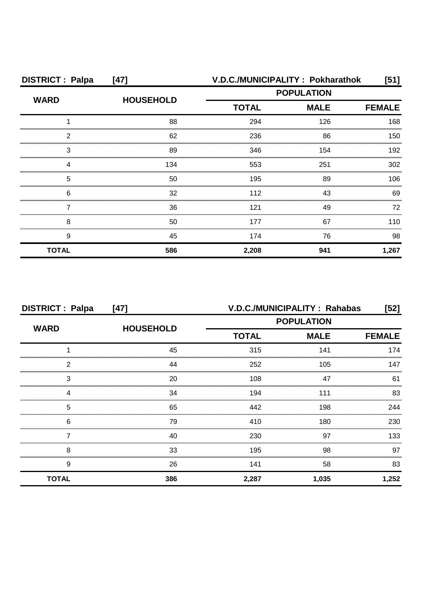| <b>DISTRICT: Palpa</b> | $[47]$           | V.D.C./MUNICIPALITY: Pokharathok |                   | [51]          |
|------------------------|------------------|----------------------------------|-------------------|---------------|
| <b>WARD</b>            | <b>HOUSEHOLD</b> |                                  | <b>POPULATION</b> |               |
|                        |                  | <b>TOTAL</b>                     | <b>MALE</b>       | <b>FEMALE</b> |
|                        | 88               | 294                              | 126               | 168           |
| 2                      | 62               | 236                              | 86                | 150           |
| 3                      | 89               | 346                              | 154               | 192           |
| Δ                      | 134              | 553                              | 251               | 302           |
| 5                      | 50               | 195                              | 89                | 106           |
| 6                      | 32               | 112                              | 43                | 69            |
|                        | 36               | 121                              | 49                | 72            |
| 8                      | 50               | 177                              | 67                | 110           |
| 9                      | 45               | 174                              | 76                | 98            |
| <b>TOTAL</b>           | 586              | 2,208                            | 941               | 1,267         |

| <b>DISTRICT: Palpa</b><br>$[47]$ |                  | V.D.C./MUNICIPALITY: Rahabas<br>$[52]$ |             |               |
|----------------------------------|------------------|----------------------------------------|-------------|---------------|
| <b>WARD</b>                      |                  | <b>POPULATION</b>                      |             |               |
|                                  | <b>HOUSEHOLD</b> | <b>TOTAL</b>                           | <b>MALE</b> | <b>FEMALE</b> |
|                                  | 45               | 315                                    | 141         | 174           |
| 2                                | 44               | 252                                    | 105         | 147           |
| 3                                | 20               | 108                                    | 47          | 61            |
| Δ                                | 34               | 194                                    | 111         | 83            |
| 5                                | 65               | 442                                    | 198         | 244           |
| 6                                | 79               | 410                                    | 180         | 230           |
|                                  | 40               | 230                                    | 97          | 133           |
| 8                                | 33               | 195                                    | 98          | 97            |
| 9                                | 26               | 141                                    | 58          | 83            |
| <b>TOTAL</b>                     | 386              | 2,287                                  | 1,035       | 1,252         |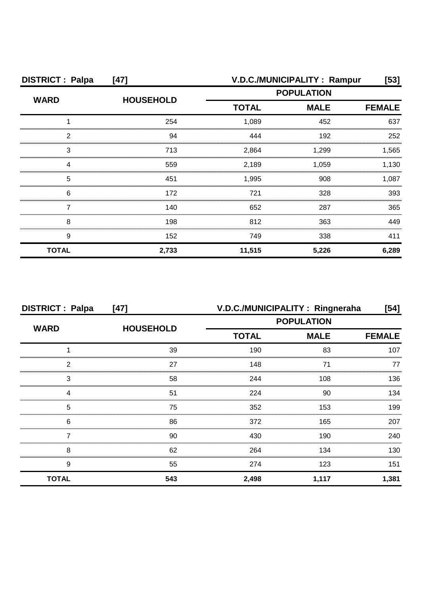| <b>DISTRICT: Palpa</b> | $[47]$           | V.D.C./MUNICIPALITY: Rampur<br>$[53]$ |                              |       |  |  |
|------------------------|------------------|---------------------------------------|------------------------------|-------|--|--|
| <b>WARD</b>            | <b>HOUSEHOLD</b> | <b>POPULATION</b>                     |                              |       |  |  |
|                        |                  | <b>TOTAL</b>                          | <b>MALE</b><br><b>FEMALE</b> |       |  |  |
|                        | 254              | 1,089                                 | 452                          | 637   |  |  |
| っ                      | 94               | 444                                   | 192                          | 252   |  |  |
| 3                      | 713              | 2,864                                 | 1,299                        | 1,565 |  |  |
|                        | 559              | 2,189                                 | 1.059                        | 1.130 |  |  |
| 5                      | 451              | 1,995                                 | 908                          | 1.087 |  |  |
| 6                      | 172              | 721                                   | 328                          | 393   |  |  |
|                        | 140              | 652                                   | 287                          | 365   |  |  |
| 8                      | 198              | 812                                   | 363                          | 449   |  |  |
| 9                      | 152              | 749                                   | 338                          | 411   |  |  |
| <b>TOTAL</b>           | 2,733            | 11,515                                | 5,226                        | 6,289 |  |  |

| <b>DISTRICT: Palpa</b> | $[47]$           | V.D.C./MUNICIPALITY: Ringneraha |                   | $[54]$        |
|------------------------|------------------|---------------------------------|-------------------|---------------|
|                        |                  |                                 | <b>POPULATION</b> |               |
| <b>WARD</b>            | <b>HOUSEHOLD</b> | <b>TOTAL</b>                    | <b>MALE</b>       | <b>FEMALE</b> |
|                        | 39               | 190                             | 83                | 107           |
| 2                      | 27               | 148                             | 71                | 77            |
| 3                      | 58               | 244                             | 108               | 136           |
|                        | 51               | 224                             | 90                | 134           |
| 5                      | 75               | 352                             | 153               | 199           |
| 6                      | 86               | 372                             | 165               | 207           |
|                        | 90               | 430                             | 190               | 240           |
| 8                      | 62               | 264                             | 134               | 130           |
| 9                      | 55               | 274                             | 123               | 151           |
| <b>TOTAL</b>           | 543              | 2,498                           | 1,117             | 1,381         |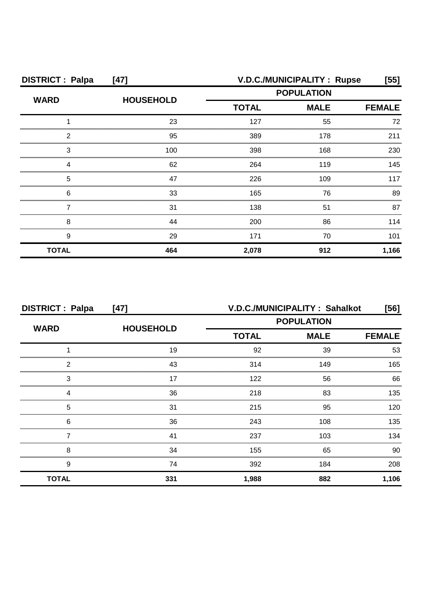| <b>DISTRICT: Palpa</b> | $[47]$           |                   | V.D.C./MUNICIPALITY: Rupse | [55]          |
|------------------------|------------------|-------------------|----------------------------|---------------|
|                        | <b>HOUSEHOLD</b> | <b>POPULATION</b> |                            |               |
| <b>WARD</b>            |                  | <b>TOTAL</b>      | <b>MALE</b>                | <b>FEMALE</b> |
|                        | 23               | 127               | 55                         | 72            |
| 2                      | 95               | 389               | 178                        | 211           |
| 3                      | 100              | 398               | 168                        | 230           |
|                        | 62               | 264               | 119                        | 145           |
| 5                      | 47               | 226               | 109                        | 117           |
| 6                      | 33               | 165               | 76                         | 89            |
|                        | 31               | 138               | 51                         | 87            |
| 8                      | 44               | 200               | 86                         | 114           |
| 9                      | 29               | 171               | 70                         | 101           |
| <b>TOTAL</b>           | 464              | 2,078             | 912                        | 1,166         |

| <b>DISTRICT: Palpa</b><br>$[47]$ |                  | V.D.C./MUNICIPALITY: Sahalkot<br>$[56]$ |             |               |
|----------------------------------|------------------|-----------------------------------------|-------------|---------------|
| <b>WARD</b>                      |                  | <b>POPULATION</b>                       |             |               |
|                                  | <b>HOUSEHOLD</b> | <b>TOTAL</b>                            | <b>MALE</b> | <b>FEMALE</b> |
|                                  | 19               | 92                                      | 39          | 53            |
| 2                                | 43               | 314                                     | 149         | 165           |
| 3                                | 17               | 122                                     | 56          | 66            |
| Δ                                | 36               | 218                                     | 83          | 135           |
| 5                                | 31               | 215                                     | 95          | 120           |
| 6                                | 36               | 243                                     | 108         | 135           |
|                                  | 41               | 237                                     | 103         | 134           |
| 8                                | 34               | 155                                     | 65          | 90            |
| 9                                | 74               | 392                                     | 184         | 208           |
| <b>TOTAL</b>                     | 331              | 1,988                                   | 882         | 1,106         |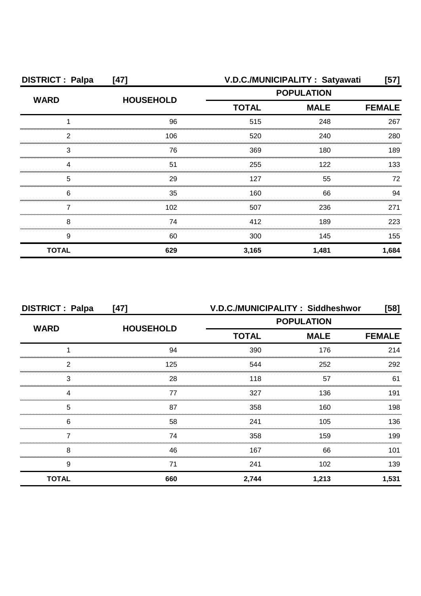| <b>DISTRICT: Palpa</b> | $[47]$           |                   | V.D.C./MUNICIPALITY: Satyawati | $[57]$        |
|------------------------|------------------|-------------------|--------------------------------|---------------|
| <b>WARD</b>            | <b>HOUSEHOLD</b> | <b>POPULATION</b> |                                |               |
|                        |                  | <b>TOTAL</b>      | <b>MALE</b>                    | <b>FEMALE</b> |
|                        | 96               | 515               | 248                            | 267           |
| 2                      | 106              | 520               | 240                            | 280           |
| 3                      | 76               | 369               | 180                            | 189           |
|                        | 51               | 255               | 122                            | 133           |
| 5                      | 29               | 127               | 55                             | 72            |
| 6                      | 35               | 160               | 66                             | 94            |
|                        | 102              | 507               | 236                            | 271           |
| 8                      | 74               | 412               | 189                            | 223           |
| 9                      | 60               | 300               | 145                            | 155           |
| <b>TOTAL</b>           | 629              | 3,165             | 1,481                          | 1,684         |

| <b>DISTRICT: Palpa</b> | $[47]$           | V.D.C./MUNICIPALITY: Siddheshwor<br>[58] |             |               |  |
|------------------------|------------------|------------------------------------------|-------------|---------------|--|
| <b>WARD</b>            |                  | <b>POPULATION</b>                        |             |               |  |
|                        | <b>HOUSEHOLD</b> | <b>TOTAL</b>                             | <b>MALE</b> | <b>FEMALE</b> |  |
|                        | 94               | 390                                      | 176         | 214           |  |
| 2                      | 125              | 544                                      | 252         | 292           |  |
| 3                      | 28               | 118                                      | 57          | 61            |  |
| Δ                      | 77               | 327                                      | 136         | 191           |  |
| 5                      | 87               | 358                                      | 160         | 198           |  |
| 6                      | 58               | 241                                      | 105         | 136           |  |
|                        | 74               | 358                                      | 159         | 199           |  |
| 8                      | 46               | 167                                      | 66          | 101           |  |
| 9                      | 71               | 241                                      | 102         | 139           |  |
| <b>TOTAL</b>           | 660              | 2,744                                    | 1,213       | 1,531         |  |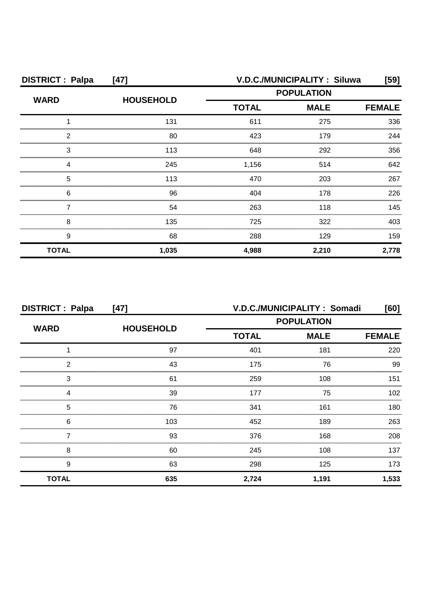| <b>DISTRICT: Palpa</b> | $[47]$           | V.D.C./MUNICIPALITY: Siluwa |                              | [59]  |  |  |
|------------------------|------------------|-----------------------------|------------------------------|-------|--|--|
| <b>WARD</b>            | <b>HOUSEHOLD</b> | <b>POPULATION</b>           |                              |       |  |  |
|                        |                  | <b>TOTAL</b>                | <b>FEMALE</b><br><b>MALE</b> |       |  |  |
|                        | 131              | 611                         | 275                          | 336   |  |  |
| 2                      | 80               | 423                         | 179                          | 244   |  |  |
| 3                      | 113              | 648                         | 292                          | 356   |  |  |
|                        | 245              | 1,156                       | 514                          | 642   |  |  |
| 5                      | 113              | 470                         | 203                          | 267   |  |  |
| 6                      | 96               | 404                         | 178                          | 226   |  |  |
|                        | 54               | 263                         | 118                          | 145   |  |  |
| 8                      | 135              | 725                         | 322                          | 403   |  |  |
| 9                      | 68               | 288                         | 129                          | 159   |  |  |
| <b>TOTAL</b>           | 1,035            | 4,988                       | 2,210                        | 2,778 |  |  |

| <b>DISTRICT: Palpa</b> | $[47]$           |                   | V.D.C./MUNICIPALITY: Somadi  | [60]  |  |
|------------------------|------------------|-------------------|------------------------------|-------|--|
| <b>WARD</b>            | <b>HOUSEHOLD</b> | <b>POPULATION</b> |                              |       |  |
|                        |                  | <b>TOTAL</b>      | <b>MALE</b><br><b>FEMALE</b> |       |  |
|                        | 97               | 401               | 181                          | 220   |  |
| 2                      | 43               | 175               | 76                           | 99    |  |
| 3                      | 61               | 259               | 108                          | 151   |  |
|                        | 39               | 177               | 75                           | 102   |  |
| 5                      | 76               | 341               | 161                          | 180   |  |
| 6                      | 103              | 452               | 189                          | 263   |  |
|                        | 93               | 376               | 168                          | 208   |  |
| 8                      | 60               | 245               | 108                          | 137   |  |
| 9                      | 63               | 298               | 125                          | 173   |  |
| <b>TOTAL</b>           | 635              | 2,724             | 1,191                        | 1,533 |  |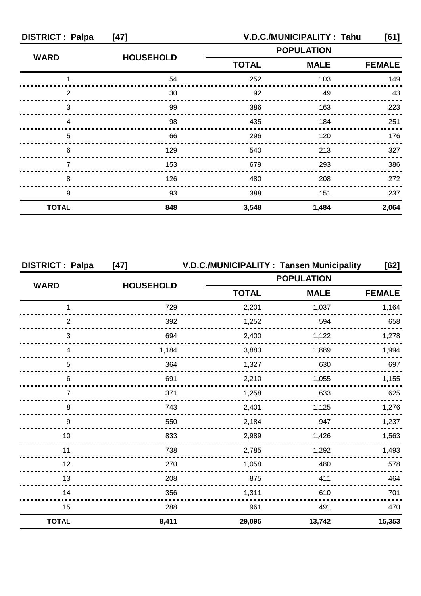| <b>DISTRICT: Palpa</b><br>$[47]$ |                  |                   | V.D.C./MUNICIPALITY: Tahu | [61]          |
|----------------------------------|------------------|-------------------|---------------------------|---------------|
|                                  |                  | <b>POPULATION</b> |                           |               |
| <b>WARD</b>                      | <b>HOUSEHOLD</b> | <b>TOTAL</b>      | <b>MALE</b>               | <b>FEMALE</b> |
|                                  | 54               | 252               | 103                       | 149           |
| っ                                | 30               | 92                | 49                        | 43            |
| 3                                | 99               | 386               | 163                       | 223           |
|                                  | 98               | 435               | 184                       | 251           |
| 5                                | 66               | 296               | 120                       | 176           |
| 6                                | 129              | 540               | 213                       | 327           |
|                                  | 153              | 679               | 293                       | 386           |
| 8                                | 126              | 480               | 208                       | 272           |
| 9                                | 93               | 388               | 151                       | 237           |
| <b>TOTAL</b>                     | 848              | 3,548             | 1,484                     | 2,064         |

| <b>DISTRICT: Palpa</b> | $[47]$           | V.D.C./MUNICIPALITY: Tansen Municipality |             | [62]          |
|------------------------|------------------|------------------------------------------|-------------|---------------|
| <b>WARD</b>            |                  | <b>POPULATION</b>                        |             |               |
|                        | <b>HOUSEHOLD</b> | <b>TOTAL</b>                             | <b>MALE</b> | <b>FEMALE</b> |
| 1                      | 729              | 2,201                                    | 1,037       | 1,164         |
| 2                      | 392              | 1,252                                    | 594         | 658           |
| 3                      | 694              | 2,400                                    | 1,122       | 1,278         |
| 4                      | 1,184            | 3,883                                    | 1,889       | 1,994         |
| 5                      | 364              | 1,327                                    | 630         | 697           |
| 6                      | 691              | 2,210                                    | 1,055       | 1,155         |
| 7                      | 371              | 1,258                                    | 633         | 625           |
| 8                      | 743              | 2,401                                    | 1,125       | 1,276         |
| 9                      | 550              | 2,184                                    | 947         | 1,237         |
| 10                     | 833              | 2,989                                    | 1,426       | 1,563         |
| 11                     | 738              | 2,785                                    | 1,292       | 1,493         |
| 12                     | 270              | 1,058                                    | 480         | 578           |
| 13                     | 208              | 875                                      | 411         | 464           |
| 14                     | 356              | 1,311                                    | 610         | 701           |
| 15                     | 288              | 961                                      | 491         | 470           |
| <b>TOTAL</b>           | 8,411            | 29,095                                   | 13,742      | 15,353        |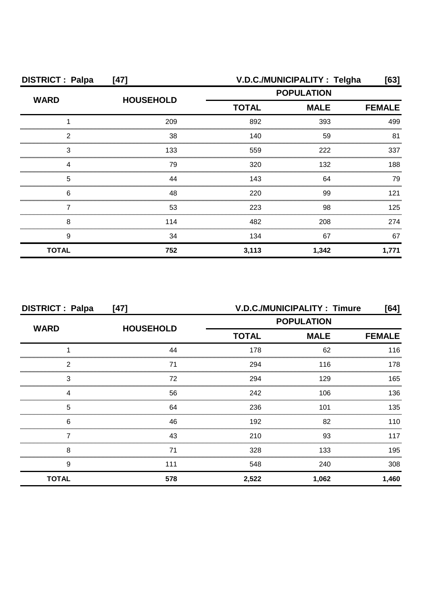| <b>DISTRICT: Palpa</b> | $[47]$           | V.D.C./MUNICIPALITY: Telgha<br>[63] |               |       |
|------------------------|------------------|-------------------------------------|---------------|-------|
|                        |                  | <b>POPULATION</b>                   |               |       |
| <b>WARD</b>            | <b>HOUSEHOLD</b> | <b>TOTAL</b><br><b>MALE</b>         | <b>FEMALE</b> |       |
|                        | 209              | 892                                 | 393           | 499   |
| 2                      | 38               | 140                                 | 59            | 81    |
| З                      | 133              | 559                                 | 222           | 337   |
|                        | 79               | 320                                 | 132           | 188   |
| 5                      | 44               | 143                                 | 64            | 79    |
| 6                      | 48               | 220                                 | 99            | 121   |
|                        | 53               | 223                                 | 98            | 125   |
| 8                      | 114              | 482                                 | 208           | 274   |
| 9                      | 34               | 134                                 | 67            | 67    |
| <b>TOTAL</b>           | 752              | 3,113                               | 1,342         | 1,771 |

| <b>DISTRICT: Palpa</b> | $[47]$           |                   | <b>V.D.C./MUNICIPALITY: Timure</b> | [64]          |
|------------------------|------------------|-------------------|------------------------------------|---------------|
|                        |                  | <b>POPULATION</b> |                                    |               |
| <b>WARD</b>            | <b>HOUSEHOLD</b> | <b>TOTAL</b>      | <b>MALE</b>                        | <b>FEMALE</b> |
|                        | 44               | 178               | 62                                 | 116           |
| 2                      | 71               | 294               | 116                                | 178           |
| 3                      | 72               | 294               | 129                                | 165           |
| 4                      | 56               | 242               | 106                                | 136           |
| 5                      | 64               | 236               | 101                                | 135           |
| 6                      | 46               | 192               | 82                                 | 110           |
|                        | 43               | 210               | 93                                 | 117           |
| 8                      | 71               | 328               | 133                                | 195           |
| 9                      | 111              | 548               | 240                                | 308           |
| <b>TOTAL</b>           | 578              | 2,522             | 1,062                              | 1,460         |